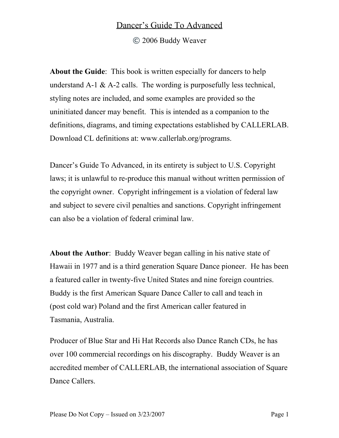© 2006 Buddy Weaver

**About the Guide**: This book is written especially for dancers to help understand  $A-1 \& A-2$  calls. The wording is purposefully less technical, styling notes are included, and some examples are provided so the uninitiated dancer may benefit. This is intended as a companion to the definitions, diagrams, and timing expectations established by CALLERLAB. Download CL definitions at: www.callerlab.org/programs.

Dancer's Guide To Advanced, in its entirety is subject to U.S. Copyright laws; it is unlawful to re-produce this manual without written permission of the copyright owner. Copyright infringement is a violation of federal law and subject to severe civil penalties and sanctions. Copyright infringement can also be a violation of federal criminal law.

**About the Author**: Buddy Weaver began calling in his native state of Hawaii in 1977 and is a third generation Square Dance pioneer. He has been a featured caller in twenty-five United States and nine foreign countries. Buddy is the first American Square Dance Caller to call and teach in (post cold war) Poland and the first American caller featured in Tasmania, Australia.

Producer of Blue Star and Hi Hat Records also Dance Ranch CDs, he has over 100 commercial recordings on his discography. Buddy Weaver is an accredited member of CALLERLAB, the international association of Square Dance Callers.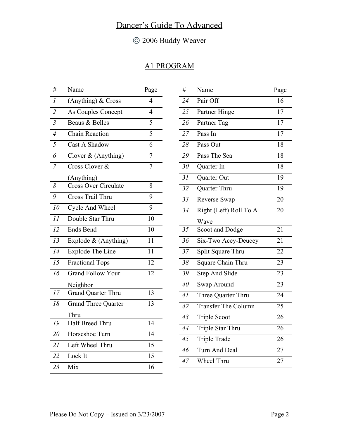# © 2006 Buddy Weaver

# A1 PROGRAM

| #               | Name                        | Page                     |
|-----------------|-----------------------------|--------------------------|
| 1               | (Anything) & Cross          | $\overline{4}$           |
| $\overline{2}$  | As Couples Concept          | $\overline{\mathcal{L}}$ |
| $\overline{3}$  | Beaus & Belles              | 5                        |
| $\overline{4}$  | <b>Chain Reaction</b>       | 5                        |
| 5               | <b>Cast A Shadow</b>        | 6                        |
| 6               | Clover $&$ (Anything)       | 7                        |
| $\overline{7}$  | Cross Clover &              | $\overline{7}$           |
|                 | (Anything)                  |                          |
| 8               | <b>Cross Over Circulate</b> | 8                        |
| 9               | Cross Trail Thru            | 9                        |
| 10              | Cycle And Wheel             | 9                        |
| $\overline{II}$ | Double Star Thru            | $\overline{10}$          |
| 12              | <b>Ends Bend</b>            | 10                       |
| 13              | Explode $&$ (Anything)      | 11                       |
| 14              | <b>Explode The Line</b>     | 11                       |
| $\overline{15}$ | <b>Fractional Tops</b>      | 12                       |
| 16              | <b>Grand Follow Your</b>    | 12                       |
|                 | Neighbor                    |                          |
| 17              | Grand Quarter Thru          | 13                       |
| 18              | <b>Grand Three Quarter</b>  | 13                       |
|                 | Thru                        |                          |
| 19              | Half Breed Thru             | 14                       |
| 20              | Horseshoe Turn              | 14                       |
| 21              | Left Wheel Thru             | $\overline{15}$          |
| 22              | Lock It                     | $\overline{15}$          |
| 23              | Mix                         | 16                       |

| #               | Name                   | Page            |
|-----------------|------------------------|-----------------|
| 24              | Pair Off               | 16              |
| 25              | Partner Hinge          | $\overline{17}$ |
| 26              | Partner Tag            | 17              |
| $\overline{27}$ | Pass In                | 17              |
| 28              | Pass Out               | 18              |
| 29              | Pass The Sea           | 18              |
| 30              | Quarter In             | 18              |
| 31              | Quarter Out            | 19              |
| 32              | Quarter Thru           | 19              |
| 33              | Reverse Swap           | 20              |
| 34              | Right (Left) Roll To A | 20              |
|                 | Wave                   |                 |
| 35              | Scoot and Dodge        | $\overline{21}$ |
| 36              | Six-Two Acey-Deucey    | 21              |
| 37              | Split Square Thru      | 22              |
| 38              | Square Chain Thru      | 23              |
| 39              | <b>Step And Slide</b>  | 23              |
| 40              | Swap Around            | 23              |
| 41              | Three Quarter Thru     | 24              |
| 42              | Transfer The Column    | 25              |
| 43              | <b>Triple Scoot</b>    | 26              |
| 44              | Triple Star Thru       | 26              |
| 45              | Triple Trade           | 26              |
| 46              | Turn And Deal          | 27              |
| 47              | Wheel Thru             | 27              |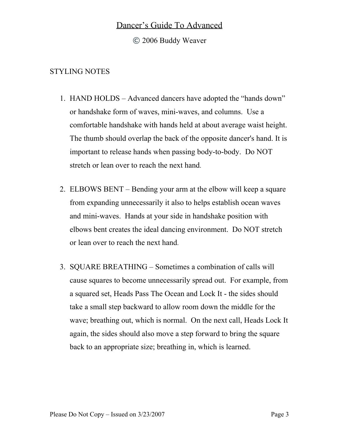© 2006 Buddy Weaver

## STYLING NOTES

- 1. HAND HOLDS Advanced dancers have adopted the "hands down" or handshake form of waves, mini-waves, and columns. Use a comfortable handshake with hands held at about average waist height. The thumb should overlap the back of the opposite dancer's hand. It is important to release hands when passing body-to-body. Do NOT stretch or lean over to reach the next hand.
- 2. ELBOWS BENT Bending your arm at the elbow will keep a square from expanding unnecessarily it also to helps establish ocean waves and mini-waves. Hands at your side in handshake position with elbows bent creates the ideal dancing environment. Do NOT stretch or lean over to reach the next hand.
- 3. SQUARE BREATHING Sometimes a combination of calls will cause squares to become unnecessarily spread out. For example, from a squared set, Heads Pass The Ocean and Lock It - the sides should take a small step backward to allow room down the middle for the wave; breathing out, which is normal. On the next call, Heads Lock It again, the sides should also move a step forward to bring the square back to an appropriate size; breathing in, which is learned.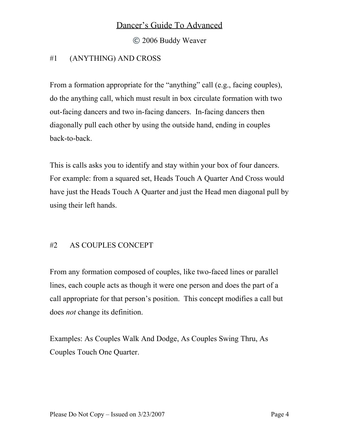© 2006 Buddy Weaver

## #1 (ANYTHING) AND CROSS

From a formation appropriate for the "anything" call (e.g., facing couples), do the anything call, which must result in box circulate formation with two out-facing dancers and two in-facing dancers. In-facing dancers then diagonally pull each other by using the outside hand, ending in couples back-to-back.

This is calls asks you to identify and stay within your box of four dancers. For example: from a squared set, Heads Touch A Quarter And Cross would have just the Heads Touch A Quarter and just the Head men diagonal pull by using their left hands.

## #2 AS COUPLES CONCEPT

From any formation composed of couples, like two-faced lines or parallel lines, each couple acts as though it were one person and does the part of a call appropriate for that person's position. This concept modifies a call but does *not* change its definition.

Examples: As Couples Walk And Dodge, As Couples Swing Thru, As Couples Touch One Quarter.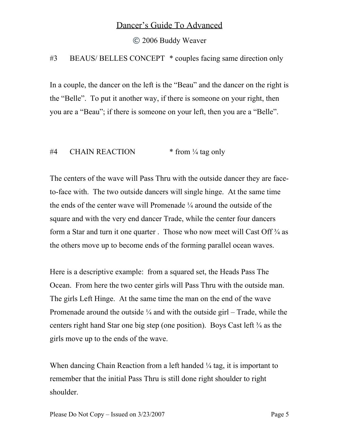© 2006 Buddy Weaver

## #3 BEAUS/ BELLES CONCEPT \* couples facing same direction only

In a couple, the dancer on the left is the "Beau" and the dancer on the right is the "Belle". To put it another way, if there is someone on your right, then you are a "Beau"; if there is someone on your left, then you are a "Belle".

### $\#4$  CHAIN REACTION  $*$  from  $\frac{1}{4}$  tag only

The centers of the wave will Pass Thru with the outside dancer they are faceto-face with. The two outside dancers will single hinge. At the same time the ends of the center wave will Promenade ¼ around the outside of the square and with the very end dancer Trade, while the center four dancers form a Star and turn it one quarter. Those who now meet will Cast Off  $\frac{3}{4}$  as the others move up to become ends of the forming parallel ocean waves.

Here is a descriptive example: from a squared set, the Heads Pass The Ocean. From here the two center girls will Pass Thru with the outside man. The girls Left Hinge. At the same time the man on the end of the wave Promenade around the outside  $\frac{1}{4}$  and with the outside girl – Trade, while the centers right hand Star one big step (one position). Boys Cast left ¾ as the girls move up to the ends of the wave.

When dancing Chain Reaction from a left handed  $\frac{1}{4}$  tag, it is important to remember that the initial Pass Thru is still done right shoulder to right shoulder.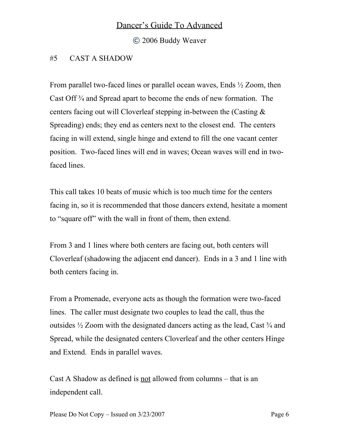© 2006 Buddy Weaver

## #5 CAST A SHADOW

From parallel two-faced lines or parallel ocean waves, Ends ½ Zoom, then Cast Off ¾ and Spread apart to become the ends of new formation. The centers facing out will Cloverleaf stepping in-between the (Casting & Spreading) ends; they end as centers next to the closest end. The centers facing in will extend, single hinge and extend to fill the one vacant center position. Two-faced lines will end in waves; Ocean waves will end in twofaced lines.

This call takes 10 beats of music which is too much time for the centers facing in, so it is recommended that those dancers extend, hesitate a moment to "square off" with the wall in front of them, then extend.

From 3 and 1 lines where both centers are facing out, both centers will Cloverleaf (shadowing the adjacent end dancer). Ends in a 3 and 1 line with both centers facing in.

From a Promenade, everyone acts as though the formation were two-faced lines. The caller must designate two couples to lead the call, thus the outsides  $\frac{1}{2}$  Zoom with the designated dancers acting as the lead, Cast  $\frac{3}{4}$  and Spread, while the designated centers Cloverleaf and the other centers Hinge and Extend. Ends in parallel waves.

Cast A Shadow as defined is not allowed from columns – that is an independent call.

Please Do Not Copy – Issued on  $3/23/2007$  Page 6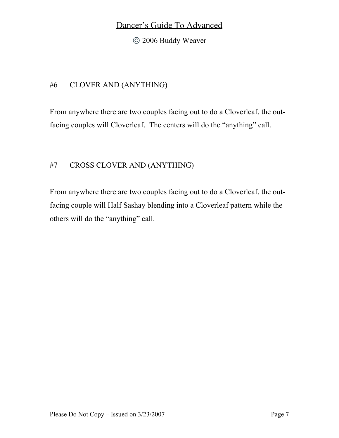© 2006 Buddy Weaver

## #6 CLOVER AND (ANYTHING)

From anywhere there are two couples facing out to do a Cloverleaf, the outfacing couples will Cloverleaf. The centers will do the "anything" call.

## #7 CROSS CLOVER AND (ANYTHING)

From anywhere there are two couples facing out to do a Cloverleaf, the outfacing couple will Half Sashay blending into a Cloverleaf pattern while the others will do the "anything" call.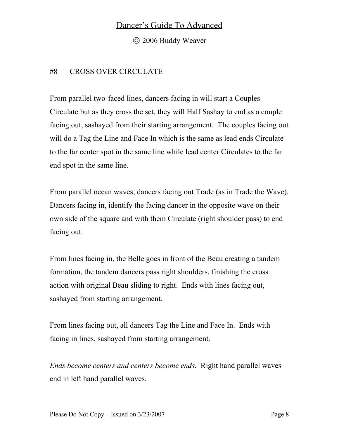© 2006 Buddy Weaver

### #8 CROSS OVER CIRCULATE

From parallel two-faced lines, dancers facing in will start a Couples Circulate but as they cross the set, they will Half Sashay to end as a couple facing out, sashayed from their starting arrangement. The couples facing out will do a Tag the Line and Face In which is the same as lead ends Circulate to the far center spot in the same line while lead center Circulates to the far end spot in the same line.

From parallel ocean waves, dancers facing out Trade (as in Trade the Wave). Dancers facing in, identify the facing dancer in the opposite wave on their own side of the square and with them Circulate (right shoulder pass) to end facing out.

From lines facing in, the Belle goes in front of the Beau creating a tandem formation, the tandem dancers pass right shoulders, finishing the cross action with original Beau sliding to right. Ends with lines facing out, sashayed from starting arrangement.

From lines facing out, all dancers Tag the Line and Face In. Ends with facing in lines, sashayed from starting arrangement.

*Ends become centers and centers become ends.* Right hand parallel waves end in left hand parallel waves.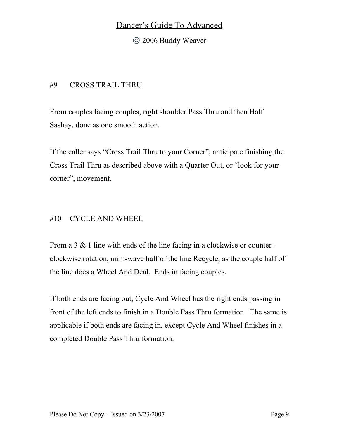© 2006 Buddy Weaver

### #9 CROSS TRAIL THRU

From couples facing couples, right shoulder Pass Thru and then Half Sashay, done as one smooth action.

If the caller says "Cross Trail Thru to your Corner", anticipate finishing the Cross Trail Thru as described above with a Quarter Out, or "look for your corner", movement.

## #10 CYCLE AND WHEEL

From a 3 & 1 line with ends of the line facing in a clockwise or counterclockwise rotation, mini-wave half of the line Recycle, as the couple half of the line does a Wheel And Deal. Ends in facing couples.

If both ends are facing out, Cycle And Wheel has the right ends passing in front of the left ends to finish in a Double Pass Thru formation. The same is applicable if both ends are facing in, except Cycle And Wheel finishes in a completed Double Pass Thru formation.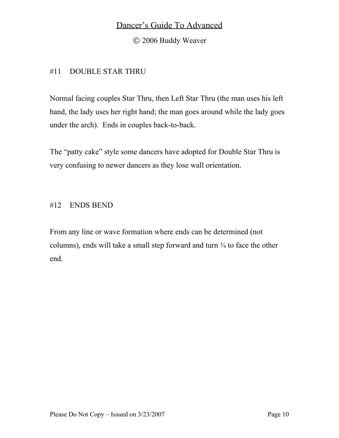© 2006 Buddy Weaver

## #11 DOUBLE STAR THRU

Normal facing couples Star Thru, then Left Star Thru (the man uses his left hand, the lady uses her right hand; the man goes around while the lady goes under the arch). Ends in couples back-to-back.

The "patty cake" style some dancers have adopted for Double Star Thru is very confusing to newer dancers as they lose wall orientation.

### #12 ENDS BEND

From any line or wave formation where ends can be determined (not columns), ends will take a small step forward and turn  $\frac{1}{4}$  to face the other end.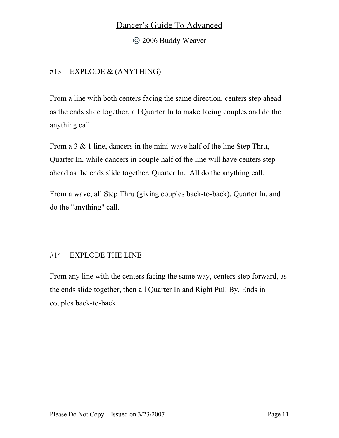© 2006 Buddy Weaver

## #13 EXPLODE & (ANYTHING)

From a line with both centers facing the same direction, centers step ahead as the ends slide together, all Quarter In to make facing couples and do the anything call.

From a 3 & 1 line, dancers in the mini-wave half of the line Step Thru, Quarter In, while dancers in couple half of the line will have centers step ahead as the ends slide together, Quarter In, All do the anything call.

From a wave, all Step Thru (giving couples back-to-back), Quarter In, and do the "anything" call.

## #14 EXPLODE THE LINE

From any line with the centers facing the same way, centers step forward, as the ends slide together, then all Quarter In and Right Pull By. Ends in couples back-to-back.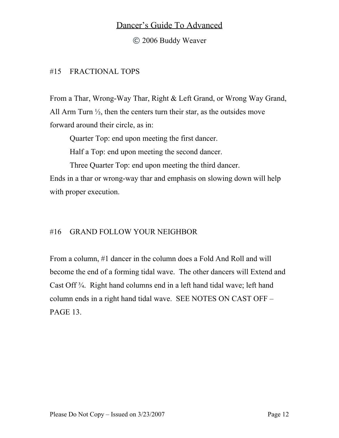© 2006 Buddy Weaver

## #15 FRACTIONAL TOPS

From a Thar, Wrong-Way Thar, Right & Left Grand, or Wrong Way Grand, All Arm Turn  $\frac{1}{2}$ , then the centers turn their star, as the outsides move forward around their circle, as in:

Quarter Top: end upon meeting the first dancer.

Half a Top: end upon meeting the second dancer.

Three Quarter Top: end upon meeting the third dancer.

Ends in a thar or wrong-way thar and emphasis on slowing down will help with proper execution.

## #16 GRAND FOLLOW YOUR NEIGHBOR

From a column, #1 dancer in the column does a Fold And Roll and will become the end of a forming tidal wave. The other dancers will Extend and Cast Off ¾. Right hand columns end in a left hand tidal wave; left hand column ends in a right hand tidal wave. SEE NOTES ON CAST OFF – PAGE 13.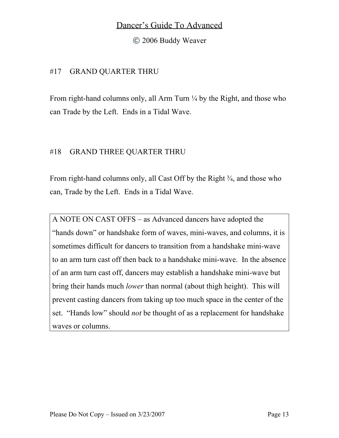© 2006 Buddy Weaver

## #17 GRAND QUARTER THRU

From right-hand columns only, all Arm Turn  $\frac{1}{4}$  by the Right, and those who can Trade by the Left. Ends in a Tidal Wave.

## #18 GRAND THREE QUARTER THRU

From right-hand columns only, all Cast Off by the Right <sup>3</sup>/<sub>4</sub>, and those who can, Trade by the Left. Ends in a Tidal Wave.

A NOTE ON CAST OFFS – as Advanced dancers have adopted the "hands down" or handshake form of waves, mini-waves, and columns, it is sometimes difficult for dancers to transition from a handshake mini-wave to an arm turn cast off then back to a handshake mini-wave. In the absence of an arm turn cast off, dancers may establish a handshake mini-wave but bring their hands much *lower* than normal (about thigh height). This will prevent casting dancers from taking up too much space in the center of the set. "Hands low" should *not* be thought of as a replacement for handshake waves or columns.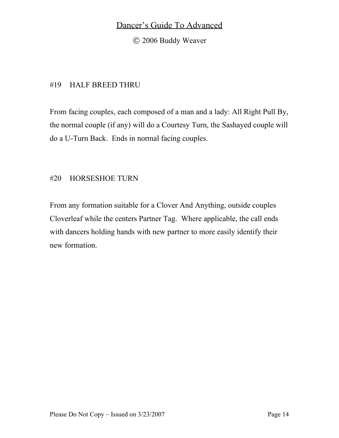© 2006 Buddy Weaver

## #19 HALF BREED THRU

From facing couples, each composed of a man and a lady: All Right Pull By, the normal couple (if any) will do a Courtesy Turn, the Sashayed couple will do a U-Turn Back. Ends in normal facing couples.

### #20 HORSESHOE TURN

From any formation suitable for a Clover And Anything, outside couples Cloverleaf while the centers Partner Tag. Where applicable, the call ends with dancers holding hands with new partner to more easily identify their new formation.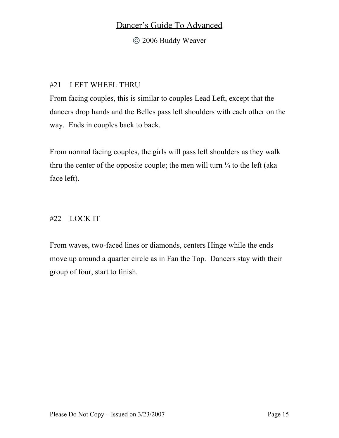© 2006 Buddy Weaver

## #21 LEFT WHEEL THRU

From facing couples, this is similar to couples Lead Left, except that the dancers drop hands and the Belles pass left shoulders with each other on the way. Ends in couples back to back.

From normal facing couples, the girls will pass left shoulders as they walk thru the center of the opposite couple; the men will turn  $\frac{1}{4}$  to the left (aka face left).

## #22 LOCK IT

From waves, two-faced lines or diamonds, centers Hinge while the ends move up around a quarter circle as in Fan the Top. Dancers stay with their group of four, start to finish.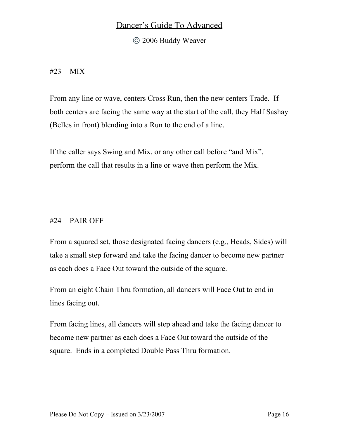© 2006 Buddy Weaver

#23 MIX

From any line or wave, centers Cross Run, then the new centers Trade. If both centers are facing the same way at the start of the call, they Half Sashay (Belles in front) blending into a Run to the end of a line.

If the caller says Swing and Mix, or any other call before "and Mix", perform the call that results in a line or wave then perform the Mix.

### #24 PAIR OFF

From a squared set, those designated facing dancers (e.g., Heads, Sides) will take a small step forward and take the facing dancer to become new partner as each does a Face Out toward the outside of the square.

From an eight Chain Thru formation, all dancers will Face Out to end in lines facing out.

From facing lines, all dancers will step ahead and take the facing dancer to become new partner as each does a Face Out toward the outside of the square. Ends in a completed Double Pass Thru formation.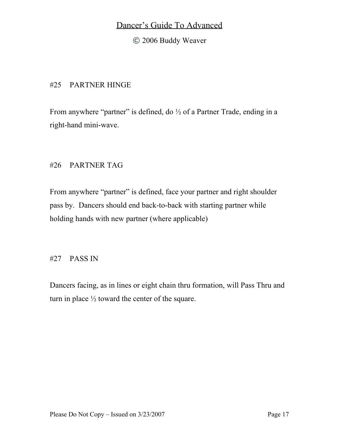© 2006 Buddy Weaver

## #25 PARTNER HINGE

From anywhere "partner" is defined, do  $\frac{1}{2}$  of a Partner Trade, ending in a right-hand mini-wave.

## #26 PARTNER TAG

From anywhere "partner" is defined, face your partner and right shoulder pass by. Dancers should end back-to-back with starting partner while holding hands with new partner (where applicable)

## #27 PASS IN

Dancers facing, as in lines or eight chain thru formation, will Pass Thru and turn in place  $\frac{1}{2}$  toward the center of the square.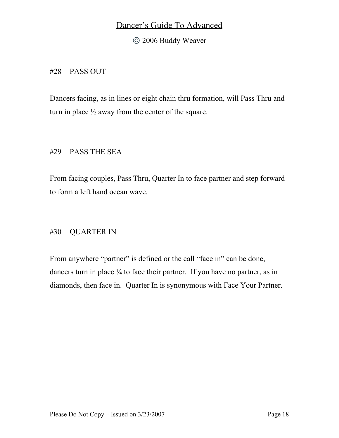© 2006 Buddy Weaver

#28 PASS OUT

Dancers facing, as in lines or eight chain thru formation, will Pass Thru and turn in place  $\frac{1}{2}$  away from the center of the square.

### #29 PASS THE SEA

From facing couples, Pass Thru, Quarter In to face partner and step forward to form a left hand ocean wave.

## #30 QUARTER IN

From anywhere "partner" is defined or the call "face in" can be done, dancers turn in place  $\frac{1}{4}$  to face their partner. If you have no partner, as in diamonds, then face in. Quarter In is synonymous with Face Your Partner.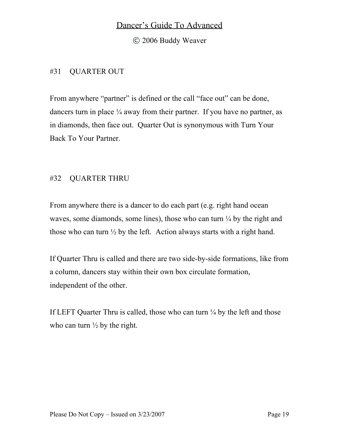© 2006 Buddy Weaver

### #31 QUARTER OUT

From anywhere "partner" is defined or the call "face out" can be done, dancers turn in place  $\frac{1}{4}$  away from their partner. If you have no partner, as in diamonds, then face out. Quarter Out is synonymous with Turn Your Back To Your Partner.

### #32 QUARTER THRU

From anywhere there is a dancer to do each part (e.g. right hand ocean waves, some diamonds, some lines), those who can turn  $\frac{1}{4}$  by the right and those who can turn  $\frac{1}{2}$  by the left. Action always starts with a right hand.

If Quarter Thru is called and there are two side-by-side formations, like from a column, dancers stay within their own box circulate formation, independent of the other.

If LEFT Quarter Thru is called, those who can turn  $\frac{1}{4}$  by the left and those who can turn  $\frac{1}{2}$  by the right.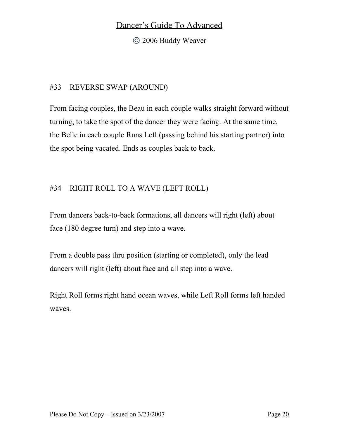© 2006 Buddy Weaver

## #33 REVERSE SWAP (AROUND)

From facing couples, the Beau in each couple walks straight forward without turning, to take the spot of the dancer they were facing. At the same time, the Belle in each couple Runs Left (passing behind his starting partner) into the spot being vacated. Ends as couples back to back.

## #34 RIGHT ROLL TO A WAVE (LEFT ROLL)

From dancers back-to-back formations, all dancers will right (left) about face (180 degree turn) and step into a wave.

From a double pass thru position (starting or completed), only the lead dancers will right (left) about face and all step into a wave.

Right Roll forms right hand ocean waves, while Left Roll forms left handed waves.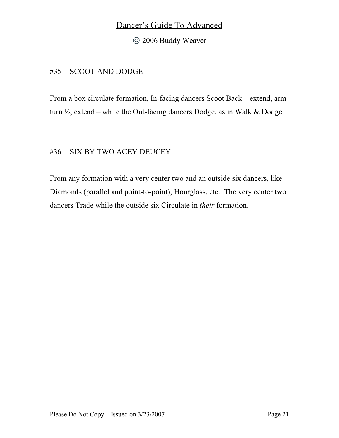© 2006 Buddy Weaver

## #35 SCOOT AND DODGE

From a box circulate formation, In-facing dancers Scoot Back – extend, arm turn  $\frac{1}{2}$ , extend – while the Out-facing dancers Dodge, as in Walk & Dodge.

### #36 SIX BY TWO ACEY DEUCEY

From any formation with a very center two and an outside six dancers, like Diamonds (parallel and point-to-point), Hourglass, etc. The very center two dancers Trade while the outside six Circulate in *their* formation.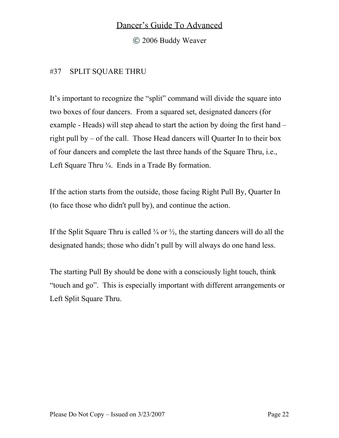© 2006 Buddy Weaver

## #37 SPLIT SQUARE THRU

It's important to recognize the "split" command will divide the square into two boxes of four dancers. From a squared set, designated dancers (for example - Heads) will step ahead to start the action by doing the first hand – right pull by – of the call. Those Head dancers will Quarter In to their box of four dancers and complete the last three hands of the Square Thru, i.e., Left Square Thru <sup>3</sup>/<sub>4</sub>. Ends in a Trade By formation.

If the action starts from the outside, those facing Right Pull By, Quarter In (to face those who didn't pull by), and continue the action.

If the Split Square Thru is called  $\frac{3}{4}$  or  $\frac{1}{2}$ , the starting dancers will do all the designated hands; those who didn't pull by will always do one hand less.

The starting Pull By should be done with a consciously light touch, think "touch and go". This is especially important with different arrangements or Left Split Square Thru.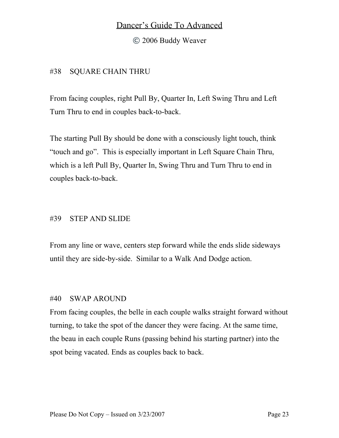© 2006 Buddy Weaver

## #38 SQUARE CHAIN THRU

From facing couples, right Pull By, Quarter In, Left Swing Thru and Left Turn Thru to end in couples back-to-back.

The starting Pull By should be done with a consciously light touch, think "touch and go". This is especially important in Left Square Chain Thru, which is a left Pull By, Quarter In, Swing Thru and Turn Thru to end in couples back-to-back.

### #39 STEP AND SLIDE

From any line or wave, centers step forward while the ends slide sideways until they are side-by-side. Similar to a Walk And Dodge action.

### #40 SWAP AROUND

From facing couples, the belle in each couple walks straight forward without turning, to take the spot of the dancer they were facing. At the same time, the beau in each couple Runs (passing behind his starting partner) into the spot being vacated. Ends as couples back to back.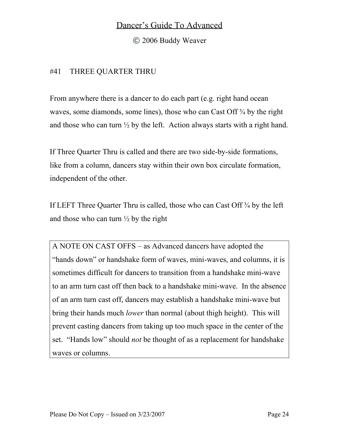© 2006 Buddy Weaver

### #41 THREE QUARTER THRU

From anywhere there is a dancer to do each part (e.g. right hand ocean waves, some diamonds, some lines), those who can Cast Off  $\frac{3}{4}$  by the right and those who can turn  $\frac{1}{2}$  by the left. Action always starts with a right hand.

If Three Quarter Thru is called and there are two side-by-side formations, like from a column, dancers stay within their own box circulate formation, independent of the other.

If LEFT Three Quarter Thru is called, those who can Cast Off ¾ by the left and those who can turn  $\frac{1}{2}$  by the right

A NOTE ON CAST OFFS – as Advanced dancers have adopted the "hands down" or handshake form of waves, mini-waves, and columns, it is sometimes difficult for dancers to transition from a handshake mini-wave to an arm turn cast off then back to a handshake mini-wave. In the absence of an arm turn cast off, dancers may establish a handshake mini-wave but bring their hands much *lower* than normal (about thigh height). This will prevent casting dancers from taking up too much space in the center of the set. "Hands low" should *not* be thought of as a replacement for handshake waves or columns.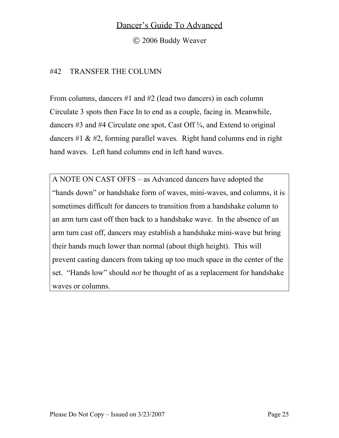© 2006 Buddy Weaver

### #42 TRANSFER THE COLUMN

From columns, dancers #1 and #2 (lead two dancers) in each column Circulate 3 spots then Face In to end as a couple, facing in. Meanwhile, dancers #3 and #4 Circulate one spot, Cast Off ¾, and Extend to original dancers  $#1 \& #2$ , forming parallel waves. Right hand columns end in right hand waves. Left hand columns end in left hand waves.

A NOTE ON CAST OFFS – as Advanced dancers have adopted the "hands down" or handshake form of waves, mini-waves, and columns, it is sometimes difficult for dancers to transition from a handshake column to an arm turn cast off then back to a handshake wave. In the absence of an arm turn cast off, dancers may establish a handshake mini-wave but bring their hands much lower than normal (about thigh height). This will prevent casting dancers from taking up too much space in the center of the set. "Hands low" should *not* be thought of as a replacement for handshake waves or columns.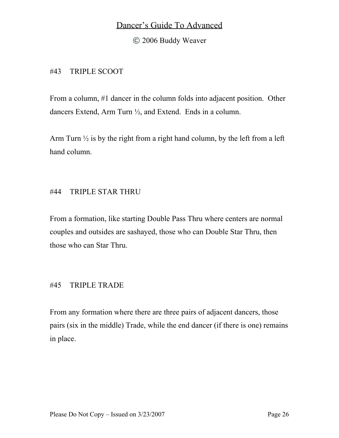© 2006 Buddy Weaver

### #43 TRIPLE SCOOT

From a column, #1 dancer in the column folds into adjacent position. Other dancers Extend, Arm Turn ½, and Extend. Ends in a column.

Arm Turn  $\frac{1}{2}$  is by the right from a right hand column, by the left from a left hand column.

### #44 TRIPLE STAR THRU

From a formation, like starting Double Pass Thru where centers are normal couples and outsides are sashayed, those who can Double Star Thru, then those who can Star Thru.

## #45 TRIPLE TRADE

From any formation where there are three pairs of adjacent dancers, those pairs (six in the middle) Trade, while the end dancer (if there is one) remains in place.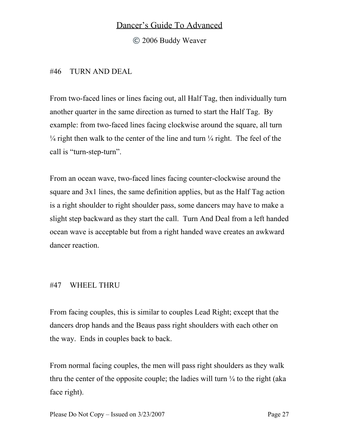© 2006 Buddy Weaver

### #46 TURN AND DEAL

From two-faced lines or lines facing out, all Half Tag, then individually turn another quarter in the same direction as turned to start the Half Tag. By example: from two-faced lines facing clockwise around the square, all turn  $\frac{1}{4}$  right then walk to the center of the line and turn  $\frac{1}{4}$  right. The feel of the call is "turn-step-turn".

From an ocean wave, two-faced lines facing counter-clockwise around the square and 3x1 lines, the same definition applies, but as the Half Tag action is a right shoulder to right shoulder pass, some dancers may have to make a slight step backward as they start the call. Turn And Deal from a left handed ocean wave is acceptable but from a right handed wave creates an awkward dancer reaction.

### #47 WHEEL THRU

From facing couples, this is similar to couples Lead Right; except that the dancers drop hands and the Beaus pass right shoulders with each other on the way. Ends in couples back to back.

From normal facing couples, the men will pass right shoulders as they walk thru the center of the opposite couple; the ladies will turn  $\frac{1}{4}$  to the right (aka face right).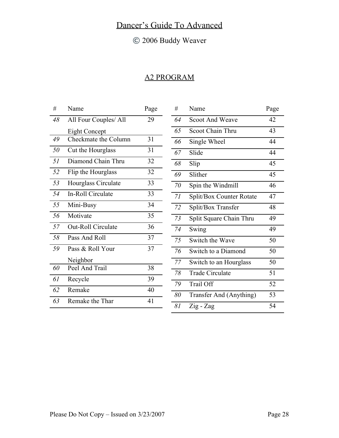# © 2006 Buddy Weaver

# A2 PROGRAM

| #  | Name                  | Page |
|----|-----------------------|------|
| 48 | All Four Couples/ All | 29   |
|    | <b>Eight Concept</b>  |      |
| 49 | Checkmate the Column  | 31   |
| 50 | Cut the Hourglass     | 31   |
| 51 | Diamond Chain Thru    | 32   |
| 52 | Flip the Hourglass    | 32   |
| 53 | Hourglass Circulate   | 33   |
| 54 | In-Roll Circulate     | 33   |
| 55 | Mini-Busy             | 34   |
| 56 | Motivate              | 35   |
| 57 | Out-Roll Circulate    | 36   |
| 58 | Pass And Roll         | 37   |
| 59 | Pass & Roll Your      | 37   |
|    | Neighbor              |      |
| 60 | Peel And Trail        | 38   |
| 61 | Recycle               | 39   |
| 62 | Remake                | 40   |
| 63 | Remake the Thar       | 41   |
|    |                       |      |

| #  | Name                                  | Page |
|----|---------------------------------------|------|
| 64 | <b>Scoot And Weave</b>                | 42   |
| 65 | Scoot Chain Thru                      | 43   |
| 66 | Single Wheel                          | 44   |
| 67 | Slide                                 | 44   |
| 68 | Slip                                  | 45   |
| 69 | Slither                               | 45   |
| 70 | Spin the Windmill                     | 46   |
| 71 | Split/Box Counter Rotate              | 47   |
| 72 | Split/Box Transfer                    | 48   |
| 73 | Split Square Chain Thru               | 49   |
| 74 | Swing                                 | 49   |
| 75 | Switch the Wave                       | 50   |
| 76 | <b>Switch to a Diamond</b>            | 50   |
| 77 | Switch to an Hourglass                | 50   |
| 78 | <b>Trade Circulate</b>                | 51   |
| 79 | Trail Off                             | 52   |
| 80 | Transfer And (Anything)               | 53   |
| 81 | $\overline{Z}$ ig - $\overline{Z}$ ag | 54   |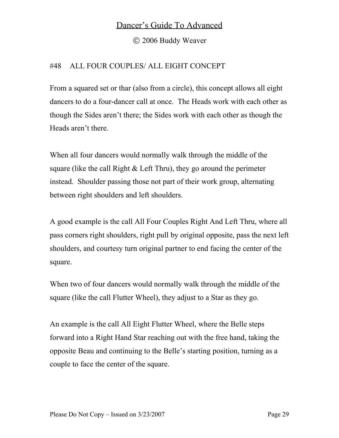© 2006 Buddy Weaver

## #48 ALL FOUR COUPLES/ ALL EIGHT CONCEPT

From a squared set or thar (also from a circle), this concept allows all eight dancers to do a four-dancer call at once. The Heads work with each other as though the Sides aren't there; the Sides work with each other as though the Heads aren't there.

When all four dancers would normally walk through the middle of the square (like the call Right  $& Left Thru)$ , they go around the perimeter instead. Shoulder passing those not part of their work group, alternating between right shoulders and left shoulders.

A good example is the call All Four Couples Right And Left Thru, where all pass corners right shoulders, right pull by original opposite, pass the next left shoulders, and courtesy turn original partner to end facing the center of the square.

When two of four dancers would normally walk through the middle of the square (like the call Flutter Wheel), they adjust to a Star as they go.

An example is the call All Eight Flutter Wheel, where the Belle steps forward into a Right Hand Star reaching out with the free hand, taking the opposite Beau and continuing to the Belle's starting position, turning as a couple to face the center of the square.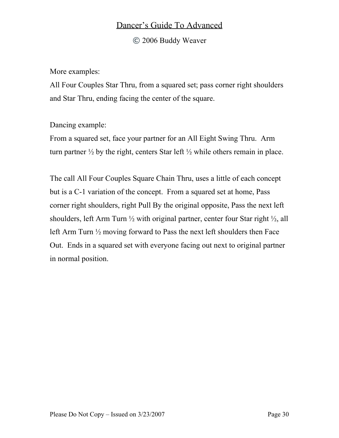© 2006 Buddy Weaver

### More examples:

All Four Couples Star Thru, from a squared set; pass corner right shoulders and Star Thru, ending facing the center of the square.

Dancing example:

From a squared set, face your partner for an All Eight Swing Thru. Arm turn partner  $\frac{1}{2}$  by the right, centers Star left  $\frac{1}{2}$  while others remain in place.

The call All Four Couples Square Chain Thru, uses a little of each concept but is a C-1 variation of the concept. From a squared set at home, Pass corner right shoulders, right Pull By the original opposite, Pass the next left shoulders, left Arm Turn  $\frac{1}{2}$  with original partner, center four Star right  $\frac{1}{2}$ , all left Arm Turn ½ moving forward to Pass the next left shoulders then Face Out. Ends in a squared set with everyone facing out next to original partner in normal position.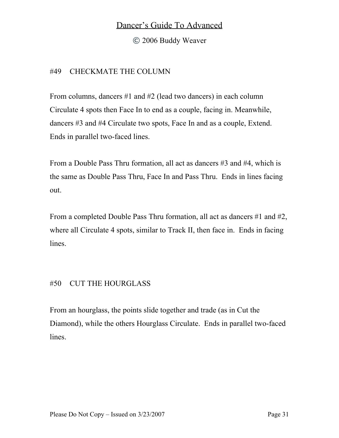© 2006 Buddy Weaver

## #49 CHECKMATE THE COLUMN

From columns, dancers #1 and #2 (lead two dancers) in each column Circulate 4 spots then Face In to end as a couple, facing in. Meanwhile, dancers #3 and #4 Circulate two spots, Face In and as a couple, Extend. Ends in parallel two-faced lines.

From a Double Pass Thru formation, all act as dancers #3 and #4, which is the same as Double Pass Thru, Face In and Pass Thru. Ends in lines facing out.

From a completed Double Pass Thru formation, all act as dancers #1 and #2, where all Circulate 4 spots, similar to Track II, then face in. Ends in facing lines.

### #50 CUT THE HOURGLASS

From an hourglass, the points slide together and trade (as in Cut the Diamond), while the others Hourglass Circulate. Ends in parallel two-faced lines.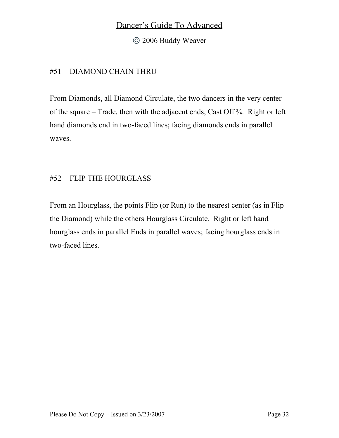© 2006 Buddy Weaver

## #51 DIAMOND CHAIN THRU

From Diamonds, all Diamond Circulate, the two dancers in the very center of the square – Trade, then with the adjacent ends, Cast Off ¾. Right or left hand diamonds end in two-faced lines; facing diamonds ends in parallel waves.

### #52 FLIP THE HOURGLASS

From an Hourglass, the points Flip (or Run) to the nearest center (as in Flip the Diamond) while the others Hourglass Circulate. Right or left hand hourglass ends in parallel Ends in parallel waves; facing hourglass ends in two-faced lines.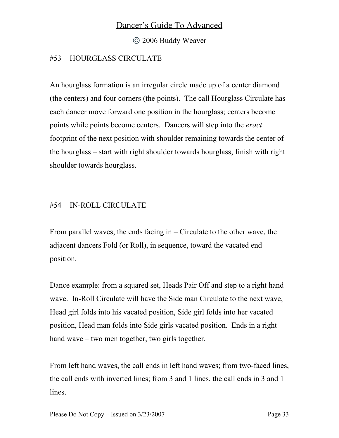© 2006 Buddy Weaver

## #53 HOURGLASS CIRCULATE

An hourglass formation is an irregular circle made up of a center diamond (the centers) and four corners (the points). The call Hourglass Circulate has each dancer move forward one position in the hourglass; centers become points while points become centers. Dancers will step into the *exact* footprint of the next position with shoulder remaining towards the center of the hourglass – start with right shoulder towards hourglass; finish with right shoulder towards hourglass.

## #54 IN-ROLL CIRCULATE

From parallel waves, the ends facing in – Circulate to the other wave, the adjacent dancers Fold (or Roll), in sequence, toward the vacated end position.

Dance example: from a squared set, Heads Pair Off and step to a right hand wave. In-Roll Circulate will have the Side man Circulate to the next wave, Head girl folds into his vacated position, Side girl folds into her vacated position, Head man folds into Side girls vacated position. Ends in a right hand wave – two men together, two girls together.

From left hand waves, the call ends in left hand waves; from two-faced lines, the call ends with inverted lines; from 3 and 1 lines, the call ends in 3 and 1 lines.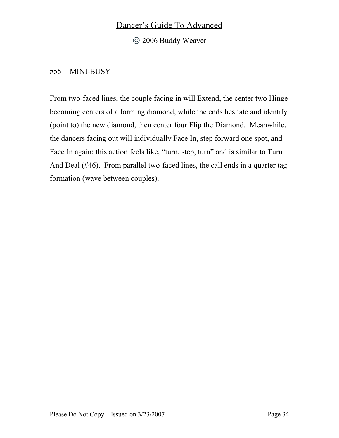© 2006 Buddy Weaver

### #55 MINI-BUSY

From two-faced lines, the couple facing in will Extend, the center two Hinge becoming centers of a forming diamond, while the ends hesitate and identify (point to) the new diamond, then center four Flip the Diamond. Meanwhile, the dancers facing out will individually Face In, step forward one spot, and Face In again; this action feels like, "turn, step, turn" and is similar to Turn And Deal (#46). From parallel two-faced lines, the call ends in a quarter tag formation (wave between couples).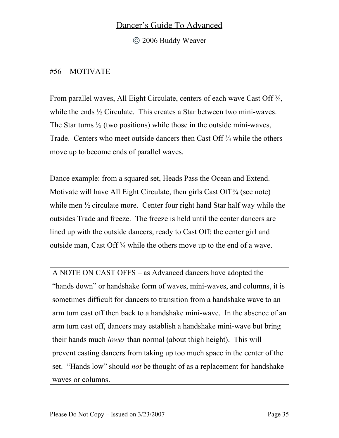© 2006 Buddy Weaver

### #56 MOTIVATE

From parallel waves, All Eight Circulate, centers of each wave Cast Off ¾, while the ends  $\frac{1}{2}$  Circulate. This creates a Star between two mini-waves. The Star turns  $\frac{1}{2}$  (two positions) while those in the outside mini-waves, Trade. Centers who meet outside dancers then Cast Off ¾ while the others move up to become ends of parallel waves.

Dance example: from a squared set, Heads Pass the Ocean and Extend. Motivate will have All Eight Circulate, then girls Cast Off  $\frac{3}{4}$  (see note) while men  $\frac{1}{2}$  circulate more. Center four right hand Star half way while the outsides Trade and freeze. The freeze is held until the center dancers are lined up with the outside dancers, ready to Cast Off; the center girl and outside man, Cast Off ¾ while the others move up to the end of a wave.

A NOTE ON CAST OFFS – as Advanced dancers have adopted the "hands down" or handshake form of waves, mini-waves, and columns, it is sometimes difficult for dancers to transition from a handshake wave to an arm turn cast off then back to a handshake mini-wave. In the absence of an arm turn cast off, dancers may establish a handshake mini-wave but bring their hands much *lower* than normal (about thigh height). This will prevent casting dancers from taking up too much space in the center of the set. "Hands low" should *not* be thought of as a replacement for handshake waves or columns.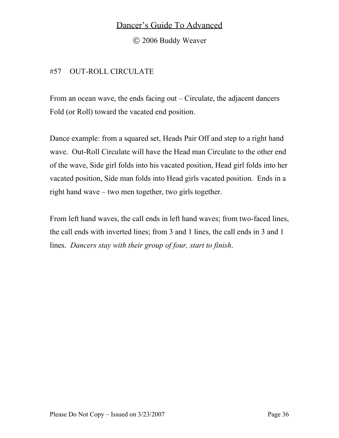© 2006 Buddy Weaver

## #57 OUT-ROLL CIRCULATE

From an ocean wave, the ends facing out – Circulate, the adjacent dancers Fold (or Roll) toward the vacated end position.

Dance example: from a squared set, Heads Pair Off and step to a right hand wave. Out-Roll Circulate will have the Head man Circulate to the other end of the wave, Side girl folds into his vacated position, Head girl folds into her vacated position, Side man folds into Head girls vacated position. Ends in a right hand wave – two men together, two girls together.

From left hand waves, the call ends in left hand waves; from two-faced lines, the call ends with inverted lines; from 3 and 1 lines, the call ends in 3 and 1 lines. *Dancers stay with their group of four, start to finish*.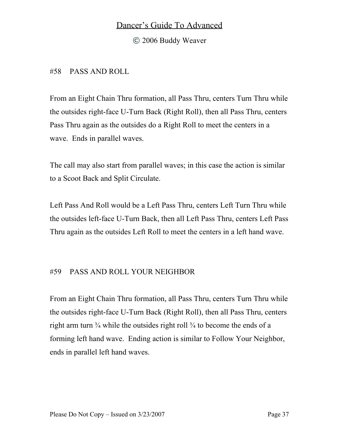© 2006 Buddy Weaver

### #58 PASS AND ROLL

From an Eight Chain Thru formation, all Pass Thru, centers Turn Thru while the outsides right-face U-Turn Back (Right Roll), then all Pass Thru, centers Pass Thru again as the outsides do a Right Roll to meet the centers in a wave. Ends in parallel waves.

The call may also start from parallel waves; in this case the action is similar to a Scoot Back and Split Circulate.

Left Pass And Roll would be a Left Pass Thru, centers Left Turn Thru while the outsides left-face U-Turn Back, then all Left Pass Thru, centers Left Pass Thru again as the outsides Left Roll to meet the centers in a left hand wave.

### #59 PASS AND ROLL YOUR NEIGHBOR

From an Eight Chain Thru formation, all Pass Thru, centers Turn Thru while the outsides right-face U-Turn Back (Right Roll), then all Pass Thru, centers right arm turn ¾ while the outsides right roll ¾ to become the ends of a forming left hand wave. Ending action is similar to Follow Your Neighbor, ends in parallel left hand waves.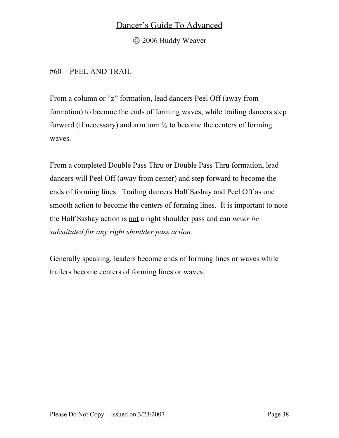© 2006 Buddy Weaver

### #60 PEEL AND TRAIL

From a column or "z" formation, lead dancers Peel Off (away from formation) to become the ends of forming waves, while trailing dancers step forward (if necessary) and arm turn  $\frac{1}{2}$  to become the centers of forming waves.

From a completed Double Pass Thru or Double Pass Thru formation, lead dancers will Peel Off (away from center) and step forward to become the ends of forming lines. Trailing dancers Half Sashay and Peel Off as one smooth action to become the centers of forming lines. It is important to note the Half Sashay action is not a right shoulder pass and can *never be substituted for any right shoulder pass action.*

Generally speaking, leaders become ends of forming lines or waves while trailers become centers of forming lines or waves.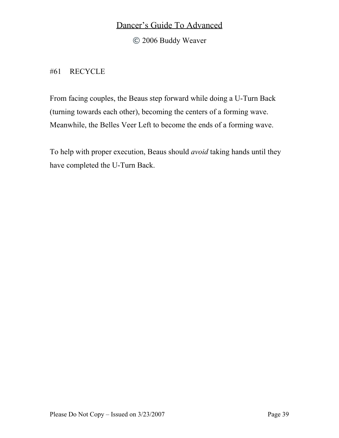© 2006 Buddy Weaver

### #61 RECYCLE

From facing couples, the Beaus step forward while doing a U-Turn Back (turning towards each other), becoming the centers of a forming wave. Meanwhile, the Belles Veer Left to become the ends of a forming wave.

To help with proper execution, Beaus should *avoid* taking hands until they have completed the U-Turn Back.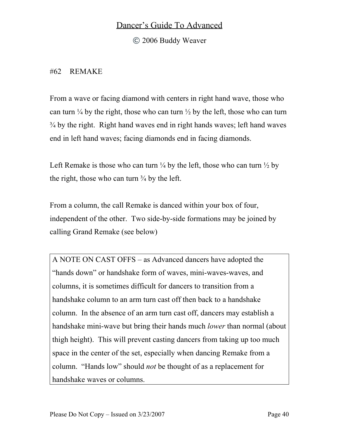© 2006 Buddy Weaver

### #62 REMAKE

From a wave or facing diamond with centers in right hand wave, those who can turn  $\frac{1}{4}$  by the right, those who can turn  $\frac{1}{2}$  by the left, those who can turn ¾ by the right. Right hand waves end in right hands waves; left hand waves end in left hand waves; facing diamonds end in facing diamonds.

Left Remake is those who can turn  $\frac{1}{4}$  by the left, those who can turn  $\frac{1}{2}$  by the right, those who can turn  $\frac{3}{4}$  by the left.

From a column, the call Remake is danced within your box of four, independent of the other. Two side-by-side formations may be joined by calling Grand Remake (see below)

A NOTE ON CAST OFFS – as Advanced dancers have adopted the "hands down" or handshake form of waves, mini-waves-waves, and columns, it is sometimes difficult for dancers to transition from a handshake column to an arm turn cast off then back to a handshake column. In the absence of an arm turn cast off, dancers may establish a handshake mini-wave but bring their hands much *lower* than normal (about thigh height). This will prevent casting dancers from taking up too much space in the center of the set, especially when dancing Remake from a column. "Hands low" should *not* be thought of as a replacement for handshake waves or columns.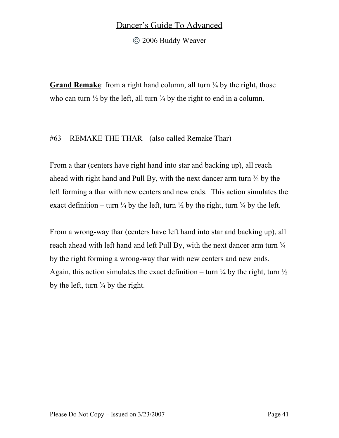© 2006 Buddy Weaver

**Grand Remake**: from a right hand column, all turn <sup>1/4</sup> by the right, those who can turn  $\frac{1}{2}$  by the left, all turn  $\frac{3}{4}$  by the right to end in a column.

#63 REMAKE THE THAR (also called Remake Thar)

From a thar (centers have right hand into star and backing up), all reach ahead with right hand and Pull By, with the next dancer arm turn ¾ by the left forming a thar with new centers and new ends. This action simulates the exact definition – turn  $\frac{1}{4}$  by the left, turn  $\frac{1}{2}$  by the right, turn  $\frac{3}{4}$  by the left.

From a wrong-way thar (centers have left hand into star and backing up), all reach ahead with left hand and left Pull By, with the next dancer arm turn  $\frac{3}{4}$ by the right forming a wrong-way thar with new centers and new ends. Again, this action simulates the exact definition – turn  $\frac{1}{4}$  by the right, turn  $\frac{1}{2}$ by the left, turn  $\frac{3}{4}$  by the right.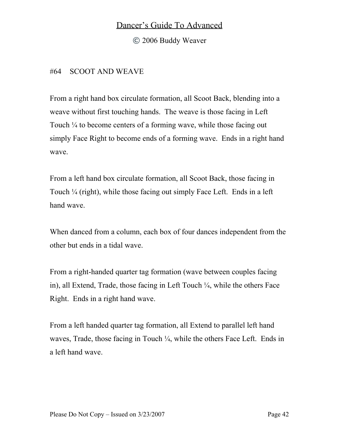© 2006 Buddy Weaver

### #64 SCOOT AND WEAVE

From a right hand box circulate formation, all Scoot Back, blending into a weave without first touching hands. The weave is those facing in Left Touch ¼ to become centers of a forming wave, while those facing out simply Face Right to become ends of a forming wave. Ends in a right hand wave.

From a left hand box circulate formation, all Scoot Back, those facing in Touch ¼ (right), while those facing out simply Face Left. Ends in a left hand wave.

When danced from a column, each box of four dances independent from the other but ends in a tidal wave.

From a right-handed quarter tag formation (wave between couples facing in), all Extend, Trade, those facing in Left Touch ¼, while the others Face Right. Ends in a right hand wave.

From a left handed quarter tag formation, all Extend to parallel left hand waves, Trade, those facing in Touch ¼, while the others Face Left. Ends in a left hand wave.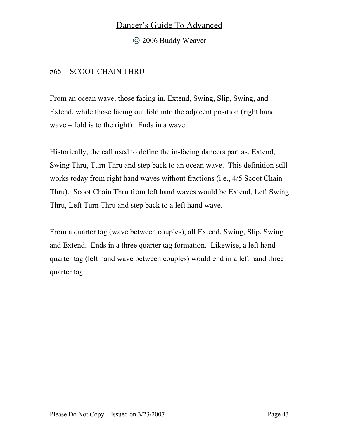© 2006 Buddy Weaver

### #65 SCOOT CHAIN THRU

From an ocean wave, those facing in, Extend, Swing, Slip, Swing, and Extend, while those facing out fold into the adjacent position (right hand wave – fold is to the right). Ends in a wave.

Historically, the call used to define the in-facing dancers part as, Extend, Swing Thru, Turn Thru and step back to an ocean wave. This definition still works today from right hand waves without fractions (i.e., 4/5 Scoot Chain Thru). Scoot Chain Thru from left hand waves would be Extend, Left Swing Thru, Left Turn Thru and step back to a left hand wave.

From a quarter tag (wave between couples), all Extend, Swing, Slip, Swing and Extend. Ends in a three quarter tag formation. Likewise, a left hand quarter tag (left hand wave between couples) would end in a left hand three quarter tag.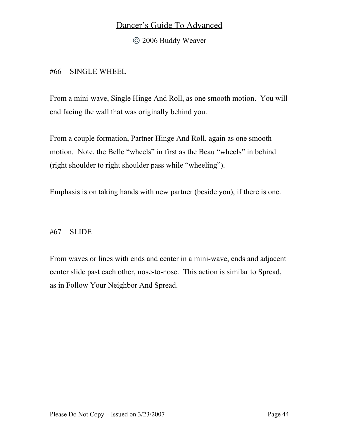© 2006 Buddy Weaver

### #66 SINGLE WHEEL

From a mini-wave, Single Hinge And Roll, as one smooth motion. You will end facing the wall that was originally behind you.

From a couple formation, Partner Hinge And Roll, again as one smooth motion. Note, the Belle "wheels" in first as the Beau "wheels" in behind (right shoulder to right shoulder pass while "wheeling").

Emphasis is on taking hands with new partner (beside you), if there is one.

### #67 SLIDE

From waves or lines with ends and center in a mini-wave, ends and adjacent center slide past each other, nose-to-nose. This action is similar to Spread, as in Follow Your Neighbor And Spread.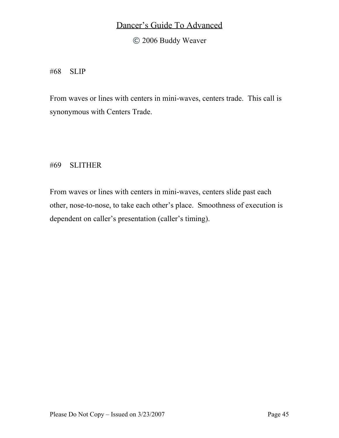## © 2006 Buddy Weaver

#68 SLIP

From waves or lines with centers in mini-waves, centers trade. This call is synonymous with Centers Trade.

### #69 SLITHER

From waves or lines with centers in mini-waves, centers slide past each other, nose-to-nose, to take each other's place. Smoothness of execution is dependent on caller's presentation (caller's timing).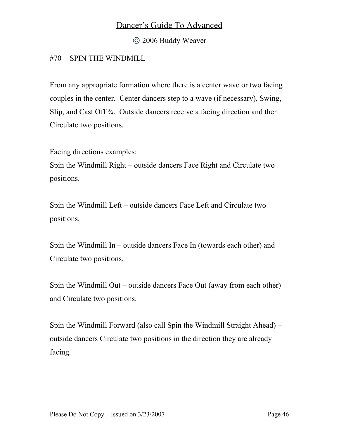© 2006 Buddy Weaver

## #70 SPIN THE WINDMILL

From any appropriate formation where there is a center wave or two facing couples in the center. Center dancers step to a wave (if necessary), Swing, Slip, and Cast Off ¾. Outside dancers receive a facing direction and then Circulate two positions.

Facing directions examples:

Spin the Windmill Right – outside dancers Face Right and Circulate two positions.

Spin the Windmill Left – outside dancers Face Left and Circulate two positions.

Spin the Windmill In – outside dancers Face In (towards each other) and Circulate two positions.

Spin the Windmill Out – outside dancers Face Out (away from each other) and Circulate two positions.

Spin the Windmill Forward (also call Spin the Windmill Straight Ahead) – outside dancers Circulate two positions in the direction they are already facing.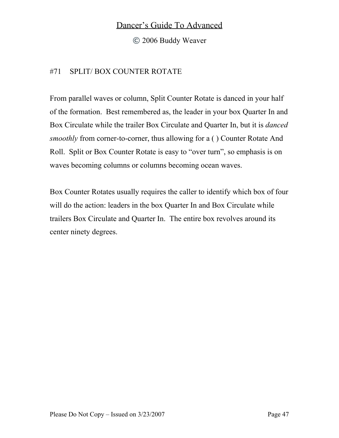© 2006 Buddy Weaver

### #71 SPLIT/ BOX COUNTER ROTATE

From parallel waves or column, Split Counter Rotate is danced in your half of the formation. Best remembered as, the leader in your box Quarter In and Box Circulate while the trailer Box Circulate and Quarter In, but it is *danced smoothly* from corner-to-corner, thus allowing for a ( ) Counter Rotate And Roll. Split or Box Counter Rotate is easy to "over turn", so emphasis is on waves becoming columns or columns becoming ocean waves.

Box Counter Rotates usually requires the caller to identify which box of four will do the action: leaders in the box Quarter In and Box Circulate while trailers Box Circulate and Quarter In. The entire box revolves around its center ninety degrees.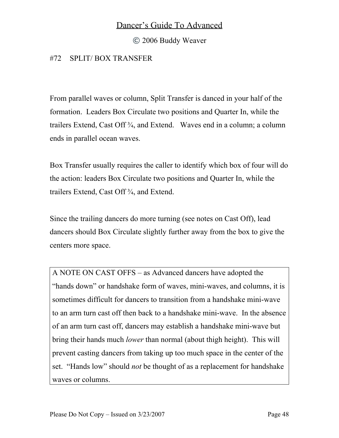© 2006 Buddy Weaver

## #72 SPLIT/ BOX TRANSFER

From parallel waves or column, Split Transfer is danced in your half of the formation. Leaders Box Circulate two positions and Quarter In, while the trailers Extend, Cast Off ¾, and Extend. Waves end in a column; a column ends in parallel ocean waves.

Box Transfer usually requires the caller to identify which box of four will do the action: leaders Box Circulate two positions and Quarter In, while the trailers Extend, Cast Off ¾, and Extend.

Since the trailing dancers do more turning (see notes on Cast Off), lead dancers should Box Circulate slightly further away from the box to give the centers more space.

A NOTE ON CAST OFFS – as Advanced dancers have adopted the "hands down" or handshake form of waves, mini-waves, and columns, it is sometimes difficult for dancers to transition from a handshake mini-wave to an arm turn cast off then back to a handshake mini-wave. In the absence of an arm turn cast off, dancers may establish a handshake mini-wave but bring their hands much *lower* than normal (about thigh height). This will prevent casting dancers from taking up too much space in the center of the set. "Hands low" should *not* be thought of as a replacement for handshake waves or columns.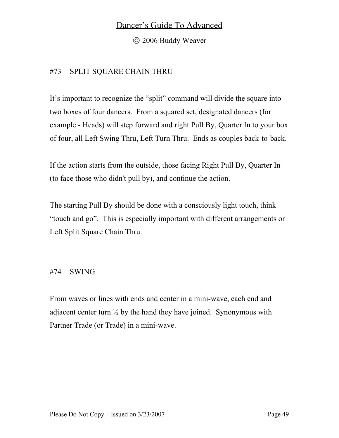## © 2006 Buddy Weaver

## #73 SPLIT SQUARE CHAIN THRU

It's important to recognize the "split" command will divide the square into two boxes of four dancers. From a squared set, designated dancers (for example - Heads) will step forward and right Pull By, Quarter In to your box of four, all Left Swing Thru, Left Turn Thru. Ends as couples back-to-back.

If the action starts from the outside, those facing Right Pull By, Quarter In (to face those who didn't pull by), and continue the action.

The starting Pull By should be done with a consciously light touch, think "touch and go". This is especially important with different arrangements or Left Split Square Chain Thru.

### #74 SWING

From waves or lines with ends and center in a mini-wave, each end and adjacent center turn  $\frac{1}{2}$  by the hand they have joined. Synonymous with Partner Trade (or Trade) in a mini-wave.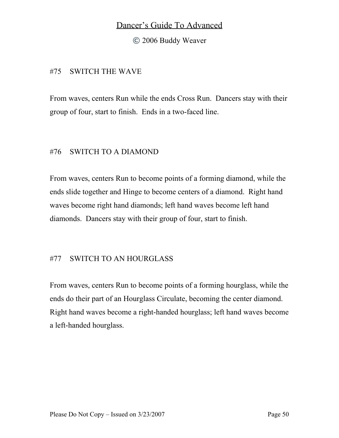© 2006 Buddy Weaver

### #75 SWITCH THE WAVE

From waves, centers Run while the ends Cross Run. Dancers stay with their group of four, start to finish. Ends in a two-faced line.

### #76 SWITCH TO A DIAMOND

From waves, centers Run to become points of a forming diamond, while the ends slide together and Hinge to become centers of a diamond. Right hand waves become right hand diamonds; left hand waves become left hand diamonds. Dancers stay with their group of four, start to finish.

## #77 SWITCH TO AN HOURGLASS

From waves, centers Run to become points of a forming hourglass, while the ends do their part of an Hourglass Circulate, becoming the center diamond. Right hand waves become a right-handed hourglass; left hand waves become a left-handed hourglass.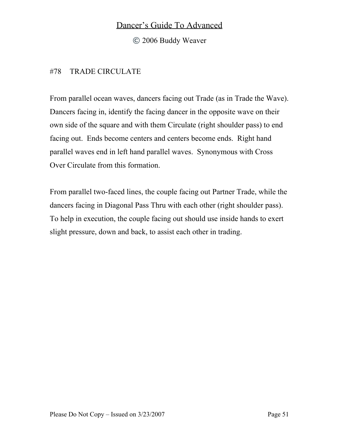© 2006 Buddy Weaver

### #78 TRADE CIRCULATE

From parallel ocean waves, dancers facing out Trade (as in Trade the Wave). Dancers facing in, identify the facing dancer in the opposite wave on their own side of the square and with them Circulate (right shoulder pass) to end facing out. Ends become centers and centers become ends. Right hand parallel waves end in left hand parallel waves. Synonymous with Cross Over Circulate from this formation.

From parallel two-faced lines, the couple facing out Partner Trade, while the dancers facing in Diagonal Pass Thru with each other (right shoulder pass). To help in execution, the couple facing out should use inside hands to exert slight pressure, down and back, to assist each other in trading.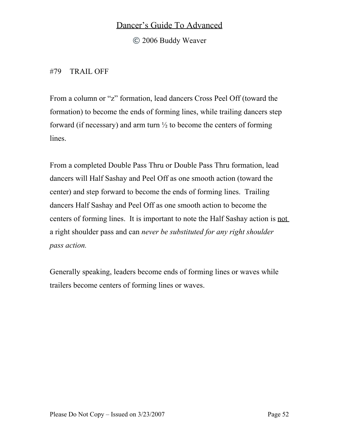© 2006 Buddy Weaver

### #79 TRAIL OFF

From a column or "z" formation, lead dancers Cross Peel Off (toward the formation) to become the ends of forming lines, while trailing dancers step forward (if necessary) and arm turn  $\frac{1}{2}$  to become the centers of forming lines.

From a completed Double Pass Thru or Double Pass Thru formation, lead dancers will Half Sashay and Peel Off as one smooth action (toward the center) and step forward to become the ends of forming lines. Trailing dancers Half Sashay and Peel Off as one smooth action to become the centers of forming lines. It is important to note the Half Sashay action is not a right shoulder pass and can *never be substituted for any right shoulder pass action.*

Generally speaking, leaders become ends of forming lines or waves while trailers become centers of forming lines or waves.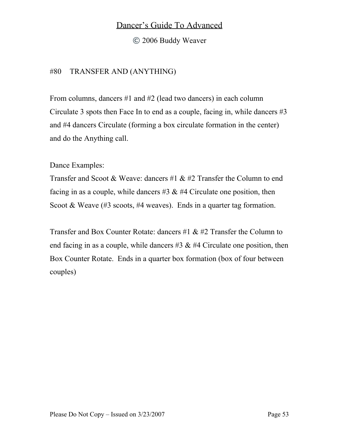© 2006 Buddy Weaver

### #80 TRANSFER AND (ANYTHING)

From columns, dancers #1 and #2 (lead two dancers) in each column Circulate 3 spots then Face In to end as a couple, facing in, while dancers #3 and #4 dancers Circulate (forming a box circulate formation in the center) and do the Anything call.

### Dance Examples:

Transfer and Scoot & Weave: dancers #1 & #2 Transfer the Column to end facing in as a couple, while dancers  $#3 \& #4$  Circulate one position, then Scoot & Weave (#3 scoots, #4 weaves). Ends in a quarter tag formation.

Transfer and Box Counter Rotate: dancers #1 & #2 Transfer the Column to end facing in as a couple, while dancers  $#3 \& #4$  Circulate one position, then Box Counter Rotate. Ends in a quarter box formation (box of four between couples)